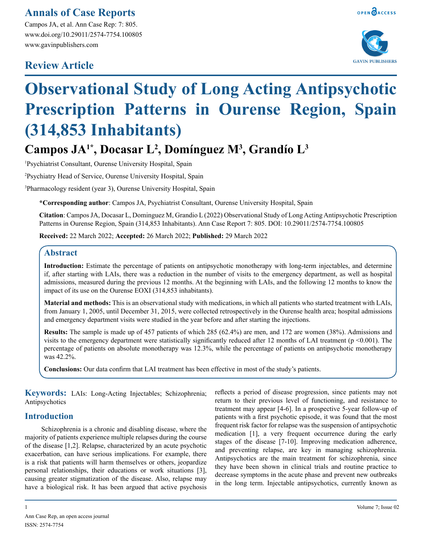### **Annals of Case Reports**

Campos JA, et al. Ann Case Rep: 7: 805. www.doi.org/10.29011/2574-7754.100805 www.gavinpublishers.com

## **Review Article**



# **Observational Study of Long Acting Antipsychotic Prescription Patterns in Ourense Region, Spain (314,853 Inhabitants)**

## Campos JA<sup>1\*</sup>, Docasar L<sup>2</sup>, Domínguez M<sup>3</sup>, Grandío L<sup>3</sup>

1 Psychiatrist Consultant, Ourense University Hospital, Spain

2 Psychiatry Head of Service, Ourense University Hospital, Spain

3 Pharmacology resident (year 3), Ourense University Hospital, Spain

**\*Corresponding author**: Campos JA, Psychiatrist Consultant, Ourense University Hospital, Spain

**Citation**: Campos JA, Docasar L, Dominguez M, Grandio L (2022) Observational Study of Long Acting Antipsychotic Prescription Patterns in Ourense Region, Spain (314,853 Inhabitants). Ann Case Report 7: 805. DOI: 10.29011/2574-7754.100805

**Received:** 22 March 2022; **Accepted:** 26 March 2022; **Published:** 29 March 2022

#### **Abstract**

**Introduction:** Estimate the percentage of patients on antipsychotic monotherapy with long-term injectables, and determine if, after starting with LAIs, there was a reduction in the number of visits to the emergency department, as well as hospital admissions, measured during the previous 12 months. At the beginning with LAIs, and the following 12 months to know the impact of its use on the Ourense EOXI (314,853 inhabitants).

**Material and methods:** This is an observational study with medications, in which all patients who started treatment with LAIs, from January 1, 2005, until December 31, 2015, were collected retrospectively in the Ourense health area; hospital admissions and emergency department visits were studied in the year before and after starting the injections.

**Results:** The sample is made up of 457 patients of which 285 (62.4%) are men, and 172 are women (38%). Admissions and visits to the emergency department were statistically significantly reduced after 12 months of LAI treatment (p <0.001). The percentage of patients on absolute monotherapy was 12.3%, while the percentage of patients on antipsychotic monotherapy was 42.2%.

**Conclusions:** Our data confirm that LAI treatment has been effective in most of the study's patients.

**Keywords:** LAIs: Long-Acting Injectables; Schizophrenia; Antipsychotics

#### **Introduction**

Schizophrenia is a chronic and disabling disease, where the majority of patients experience multiple relapses during the course of the disease [1,2]. Relapse, characterized by an acute psychotic exacerbation, can have serious implications. For example, there is a risk that patients will harm themselves or others, jeopardize personal relationships, their educations or work situations [3], causing greater stigmatization of the disease. Also, relapse may have a biological risk. It has been argued that active psychosis reflects a period of disease progression, since patients may not return to their previous level of functioning, and resistance to treatment may appear [4-6]. In a prospective 5-year follow-up of patients with a first psychotic episode, it was found that the most frequent risk factor for relapse was the suspension of antipsychotic medication [1], a very frequent occurrence during the early stages of the disease [7-10]. Improving medication adherence, and preventing relapse, are key in managing schizophrenia. Antipsychotics are the main treatment for schizophrenia, since they have been shown in clinical trials and routine practice to decrease symptoms in the acute phase and prevent new outbreaks in the long term. Injectable antipsychotics, currently known as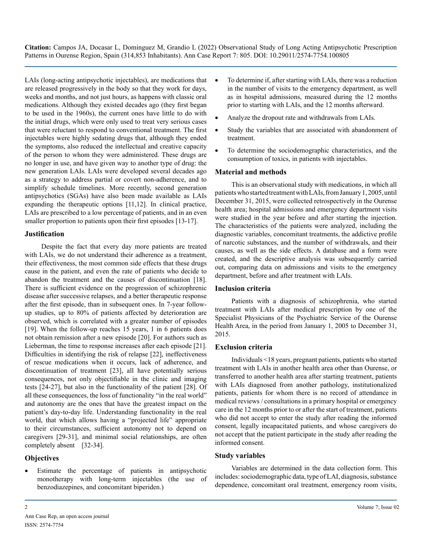LAIs (long-acting antipsychotic injectables), are medications that are released progressively in the body so that they work for days, weeks and months, and not just hours, as happens with classic oral medications. Although they existed decades ago (they first began to be used in the 1960s), the current ones have little to do with the initial drugs, which were only used to treat very serious cases that were reluctant to respond to conventional treatment. The first injectables were highly sedating drugs that, although they ended the symptoms, also reduced the intellectual and creative capacity of the person to whom they were administered. These drugs are no longer in use, and have given way to another type of drug: the new generation LAIs. LAIs were developed several decades ago as a strategy to address partial or covert non-adherence, and to simplify schedule timelines. More recently, second generation antipsychotics (SGAs) have also been made available as LAIs expanding the therapeutic options [11,12]. In clinical practice, LAIs are prescribed to a low percentage of patients, and in an even smaller proportion to patients upon their first episodes [13-17].

#### **Justification**

Despite the fact that every day more patients are treated with LAIs, we do not understand their adherence as a treatment, their effectiveness, the most common side effects that these drugs cause in the patient, and even the rate of patients who decide to abandon the treatment and the causes of discontinuation [18]. There is sufficient evidence on the progression of schizophrenic disease after successive relapses, and a better therapeutic response after the first episode, than in subsequent ones. In 7-year followup studies, up to 80% of patients affected by deterioration are observed, which is correlated with a greater number of episodes [19]. When the follow-up reaches 15 years, 1 in 6 patients does not obtain remission after a new episode [20]. For authors such as Lieberman, the time to response increases after each episode [21]. Difficulties in identifying the risk of relapse [22], ineffectiveness of rescue medications when it occurs, lack of adherence, and discontinuation of treatment [23], all have potentially serious consequences, not only objectifiable in the clinic and imaging tests [24-27], but also in the functionality of the patient [28]. Of all these consequences, the loss of functionality "in the real world" and autonomy are the ones that have the greatest impact on the patient's day-to-day life. Understanding functionality in the real world, that which allows having a "projected life" appropriate to their circumstances, sufficient autonomy not to depend on caregivers [29-31], and minimal social relationships, are often completely absent [32-34].

#### **Objectives**

Estimate the percentage of patients in antipsychotic monotherapy with long-term injectables (the use of benzodiazepines, and concomitant biperiden.)

- To determine if, after starting with LAIs, there was a reduction in the number of visits to the emergency department, as well as in hospital admissions, measured during the 12 months prior to starting with LAIs, and the 12 months afterward.
- Analyze the dropout rate and withdrawals from LAIs.
- Study the variables that are associated with abandonment of treatment.
- To determine the sociodemographic characteristics, and the consumption of toxics, in patients with injectables.

#### **Material and methods**

This is an observational study with medications, in which all patients who started treatment with LAIs, from January 1, 2005, until December 31, 2015, were collected retrospectively in the Ourense health area; hospital admissions and emergency department visits were studied in the year before and after starting the injection. The characteristics of the patients were analyzed, including the diagnostic variables, concomitant treatments, the addictive profile of narcotic substances, and the number of withdrawals, and their causes, as well as the side effects. A database and a form were created, and the descriptive analysis was subsequently carried out, comparing data on admissions and visits to the emergency department, before and after treatment with LAIs.

#### **Inclusion criteria**

Patients with a diagnosis of schizophrenia, who started treatment with LAIs after medical prescription by one of the Specialist Physicians of the Psychiatric Service of the Ourense Health Area, in the period from January 1, 2005 to December 31, 2015.

#### **Exclusion criteria**

Individuals <18 years, pregnant patients, patients who started treatment with LAIs in another health area other than Ourense, or transferred to another health area after starting treatment, patients with LAIs diagnosed from another pathology, institutionalized patients, patients for whom there is no record of attendance in medical reviews / consultations in a primary hospital or emergency care in the 12 months prior to or after the start of treatment, patients who did not accept to enter the study after reading the informed consent, legally incapacitated patients, and whose caregivers do not accept that the patient participate in the study after reading the informed consent.

#### **Study variables**

Variables are determined in the data collection form. This includes: sociodemographic data, type of LAI, diagnosis, substance dependence, concomitant oral treatment, emergency room visits,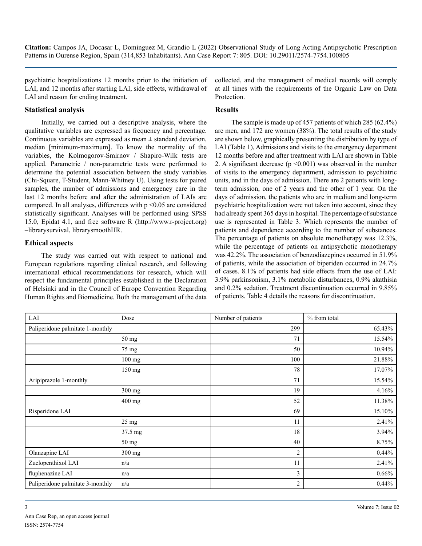psychiatric hospitalizations 12 months prior to the initiation of LAI, and 12 months after starting LAI, side effects, withdrawal of LAI and reason for ending treatment.

#### **Statistical analysis**

Initially, we carried out a descriptive analysis, where the qualitative variables are expressed as frequency and percentage. Continuous variables are expressed as mean  $\pm$  standard deviation, median [minimum-maximum]. To know the normality of the variables, the Kolmogorov-Smirnov / Shapiro-Wilk tests are applied. Parametric / non-parametric tests were performed to determine the potential association between the study variables (Chi-Square, T-Student, Mann-Whitney U). Using tests for paired samples, the number of admissions and emergency care in the last 12 months before and after the administration of LAIs are compared. In all analyses, differences with p <0.05 are considered statistically significant. Analyses will be performed using SPSS 15.0, Epidat 4.1, and free software R (http://www.r-project.org) –librarysurvival, librarysmoothHR.

#### **Ethical aspects**

The study was carried out with respect to national and European regulations regarding clinical research, and following international ethical recommendations for research, which will respect the fundamental principles established in the Declaration of Helsinki and in the Council of Europe Convention Regarding Human Rights and Biomedicine. Both the management of the data

collected, and the management of medical records will comply at all times with the requirements of the Organic Law on Data Protection.

#### **Results**

The sample is made up of 457 patients of which 285 (62.4%) are men, and 172 are women (38%). The total results of the study are shown below, graphically presenting the distribution by type of LAI (Table 1), Admissions and visits to the emergency department 12 months before and after treatment with LAI are shown in Table 2. A significant decrease  $(p \le 0.001)$  was observed in the number of visits to the emergency department, admission to psychiatric units, and in the days of admission. There are 2 patients with longterm admission, one of 2 years and the other of 1 year. On the days of admission, the patients who are in medium and long-term psychiatric hospitalization were not taken into account, since they had already spent 365 days in hospital. The percentage of substance use is represented in Table 3. Which represents the number of patients and dependence according to the number of substances. The percentage of patients on absolute monotherapy was 12.3%, while the percentage of patients on antipsychotic monotherapy was 42.2%. The association of benzodiazepines occurred in 51.9% of patients, while the association of biperiden occurred in 24.7% of cases. 8.1% of patients had side effects from the use of LAI: 3.9% parkinsonism, 3.1% metabolic disturbances, 0.9% akathisia and 0.2% sedation. Treatment discontinuation occurred in 9.85% of patients. Table 4 details the reasons for discontinuation.

| $\operatorname{LAI}$             | Dose            | Number of patients | % from total |
|----------------------------------|-----------------|--------------------|--------------|
| Paliperidone palmitate 1-monthly |                 | 299                | 65.43%       |
|                                  | 50 mg           | 71                 | 15.54%       |
|                                  | 75 mg           | 50                 | 10.94%       |
|                                  | $100$ mg        | 100                | 21.88%       |
|                                  | 150 mg          | 78                 | 17.07%       |
| Aripiprazole 1-monthly           |                 | 71                 | 15.54%       |
|                                  | 300 mg          | 19                 | 4.16%        |
|                                  | 400 mg          | 52                 | 11.38%       |
| Risperidone LAI                  |                 | 69                 | 15.10%       |
|                                  | $25 \text{ mg}$ | 11                 | 2.41%        |
|                                  | 37.5 mg         | 18                 | 3.94%        |
|                                  | 50 mg           | 40                 | 8.75%        |
| Olanzapine LAI                   | 300 mg          | 2                  | 0.44%        |
| Zuclopenthixol LAI               | n/a             | 11                 | 2.41%        |
| fluphenazine LAI                 | n/a             | 3                  | 0.66%        |
| Paliperidone palmitate 3-monthly | n/a             | 2                  | 0.44%        |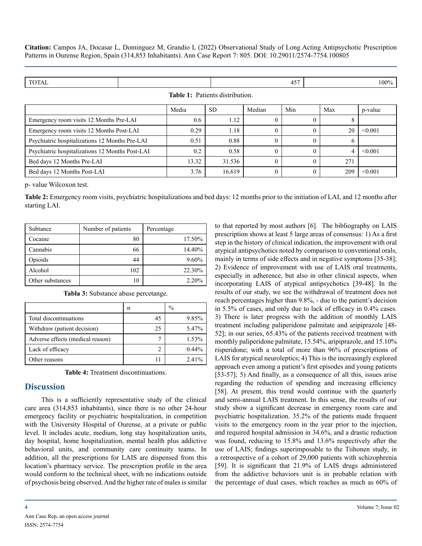| <b>TOTAL</b>                                    |  |       |           |                  | 457          |     | 100%    |  |
|-------------------------------------------------|--|-------|-----------|------------------|--------------|-----|---------|--|
| <b>Table 1:</b> Patients distribution.          |  |       |           |                  |              |     |         |  |
|                                                 |  | Media | <b>SD</b> | Median           | Min          | Max | p-value |  |
| Emergency room visits 12 Months Pre-LAI         |  | 0.6   | 1.12      | $\theta$         | $\Omega$     | 8   |         |  |
| Emergency room visits 12 Months Post-LAI        |  | 0.29  | 1.18      | $\theta$         | $\theta$     | 20  | < 0.001 |  |
| Psychiatric hospitalizations 12 Months Pre-LAI  |  | 0.51  | 0.88      | $\theta$         | $\theta$     | O   |         |  |
| Psychiatric hospitalizations 12 Months Post-LAI |  | 0.2   | 0.58      | $\Omega$         | $\theta$     | 4   | < 0.001 |  |
| Bed days 12 Months Pre-LAI                      |  | 13.32 | 31.536    | $\theta$         | $\theta$     | 271 |         |  |
| Bed days 12 Months Post-LAI                     |  | 3.76  | 16.619    | $\boldsymbol{0}$ | $\mathbf{0}$ | 209 | < 0.001 |  |

p- value Wilcoxon test.

**Table 2:** Emergency room visits, psychiatric hospitalizations and bed days: 12 months prior to the initiation of LAI, and 12 months after starting LAI.

| Subtance         | Number of patients | Percentage |
|------------------|--------------------|------------|
| Cocaine          | 80                 | 17.50%     |
| Cannabis         | 66                 | 14.40%     |
| Opioids          | 44                 | $9.60\%$   |
| Alcohol          | 102                | 22.30%     |
| Other substances | 10                 | 2.20%      |

|                                  | n  | $\frac{0}{0}$ |
|----------------------------------|----|---------------|
| Total discontinuations           |    | 9.85%         |
| Withdraw (patient decision)      | 25 | 5.47%         |
| Adverse effects (medical reason) |    | 1.53%         |
| Lack of efficacy                 |    | $0.44\%$      |
| Other reasons                    |    | $2.41\%$      |

**Tabla 3:** Substance abuse percetange.

**Table 4:** Treatment discontinuations.

#### **Discussion**

This is a sufficiently representative study of the clinical care area (314,853 inhabitants), since there is no other 24-hour emergency facility or psychiatric hospitalization, in competition with the University Hospital of Ourense, at a private or public level. It includes acute, medium, long stay hospitalization units, day hospital, home hospitalization, mental health plus addictive behavioral units, and community care continuity teams. In addition, all the prescriptions for LAIS are dispensed from this location's pharmacy service. The prescription profile in the area would conform to the technical sheet, with no indications outside of psychosis being observed. And the higher rate of males is similar

Ann Case Rep, an open access journal ISSN: 2574-7754

to that reported by most authors [6]. The bibliography on LAIS prescription shows at least 5 large areas of consensus: 1) As a first step in the history of clinical indication, the improvement with oral atypical antipsychotics noted by comparison to conventional orals, mainly in terms of side effects and in negative symptoms [35-38]; 2) Evidence of improvement with use of LAIS oral treatments, especially in adherence, but also in other clinical aspects, when incorporating LAIS of atypical antipsychotics [39-48]. In the results of our study, we see the withdrawal of treatment does not reach percentages higher than 9.8%, - due to the patient's decision in 5.5% of cases, and only due to lack of efficacy in 0.4% cases. 3) There is later progress with the addition of monthly LAIS treatment including paliperidone palmitate and aripiprazole [48- 52]; in our series, 65.43% of the patients received treatment with monthly paliperidone palmitate, 15.54%, aripiprazole, and 15.10% risperidone; with a total of more than 96% of prescriptions of LAIS for atypical neuroleptics; 4) This is the increasingly explored approach even among a patient's first episodes and young patients [53-57]; 5) And finally, as a consequence of all this, issues arise regarding the reduction of spending and increasing efficiency [58]. At present, this trend would continue with the quarterly and semi-annual LAIS treatment. In this sense, the results of our study show a significant decrease in emergency room care and psychiatric hospitalization. 35.2% of the patients made frequent visits to the emergency room in the year prior to the injection, and required hospital admission in 34.6%, and a drastic reduction was found, reducing to 15.8% and 13.6% respectively after the use of LAIS; findings superimposable to the Tiihonen study, in a retrospective of a cohort of 29,000 patients with schizophrenia [59]. It is significant that 21.9% of LAIS drugs administered from the addictive behaviors unit is in probable relation with the percentage of dual cases, which reaches as much as 60% of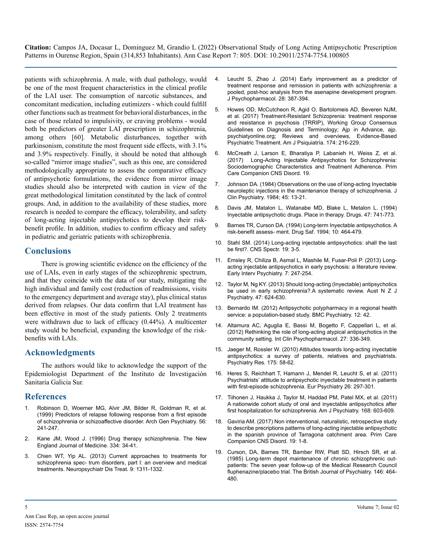patients with schizophrenia. A male, with dual pathology, would be one of the most frequent characteristics in the clinical profile of the LAI user. The consumption of narcotic substances, and concomitant medication, including eutimizers - which could fulfill other functions such as treatment for behavioral disturbances, in the case of those related to impulsivity, or craving problems - would both be predictors of greater LAI prescription in schizophrenia, among others [60]. Metabolic disturbances, together with parkinsonism, constitute the most frequent side effects, with 3.1% and 3.9% respectively. Finally, it should be noted that although so-called "mirror image studies", such as this one, are considered methodologically appropriate to assess the comparative efficacy of antipsychotic formulations, the evidence from mirror image studies should also be interpreted with caution in view of the great methodological limitation constituted by the lack of control groups. And, in addition to the availability of these studies, more research is needed to compare the efficacy, tolerability, and safety of long-acting injectable antipsychotics to develop their riskbenefit profile. In addition, studies to confirm efficacy and safety in pediatric and geriatric patients with schizophrenia.

#### **Conclusions**

There is growing scientific evidence on the efficiency of the use of LAIs, even in early stages of the schizophrenic spectrum, and that they coincide with the data of our study, mitigating the high individual and family cost (reduction of readmissions, visits to the emergency department and average stay), plus clinical status derived from relapses. Our data confirm that LAI treatment has been effective in most of the study patients. Only 2 treatments were withdrawn due to lack of efficacy (0.44%). A multicenter study would be beneficial, expanding the knowledge of the riskbenefits with LAIs.

#### **Acknowledgments**

The authors would like to acknowledge the support of the Epidemiologist Department of the Instituto de Investigación Sanitaria Galicia Sur.

#### **References**

- 1. [Robinson D, Woerner MG, Alvir JM, Bilder R, Goldman R, et al.](https://pubmed.ncbi.nlm.nih.gov/10078501/) [\(1999\) Predictors of relapse following response from a first episode](https://pubmed.ncbi.nlm.nih.gov/10078501/)  [of schizophrenia or schizoaffective disorder. Arch Gen Psychiatry. 56:](https://pubmed.ncbi.nlm.nih.gov/10078501/) [241-247.](https://pubmed.ncbi.nlm.nih.gov/10078501/)
- 2. [Kane JM, Wood J. \(1996\) Drug therapy schizophrenia. The New](https://psycnet.apa.org/record/1996-02108-001)  [England Journal of Medicine. 334: 34-41.](https://psycnet.apa.org/record/1996-02108-001)
- 3. [Chien WT, Yip AL. \(2013\) Current approaches to treatments for](https://pubmed.ncbi.nlm.nih.gov/24049446/)  [schizophrenia spec- trum disorders, part I: an overview and medical](https://pubmed.ncbi.nlm.nih.gov/24049446/)  [treatments. Neuropsychiatr Dis Treat. 9: 1311-1332.](https://pubmed.ncbi.nlm.nih.gov/24049446/)
- 4. [Leucht S, Zhao J. \(2014\) Early improvement as a predictor of](https://pubmed.ncbi.nlm.nih.gov/24429222/)  [treatment response and remission in patients with schizophrenia: a](https://pubmed.ncbi.nlm.nih.gov/24429222/)  [pooled, post-hoc analysis from the asenapine development program.](https://pubmed.ncbi.nlm.nih.gov/24429222/)  [J Psychopharmacol. 28: 387-394.](https://pubmed.ncbi.nlm.nih.gov/24429222/)
- 5. [Howes OD, McCutcheon R, Agid O, Bartolomeis AD, Beveren NJM,](https://pubmed.ncbi.nlm.nih.gov/27919182/) [et al. \(2017\) Treatment-Resistant Schizoprenia: treatment response](https://pubmed.ncbi.nlm.nih.gov/27919182/)  [and resistance in psychosis \(TRRIP\), Working Group Consensus](https://pubmed.ncbi.nlm.nih.gov/27919182/)  [Guidelines on Diagnosis and Terminology; Ajp in Advance, ajp.](https://pubmed.ncbi.nlm.nih.gov/27919182/) [psychiatyonline.org; Reviews and overviews, Evidence-Based](https://pubmed.ncbi.nlm.nih.gov/27919182/)  [Psychiatric Treatment. Am J Psiquiatría. 174: 216-229.](https://pubmed.ncbi.nlm.nih.gov/27919182/)
- 6. [McCreath J, Larson E, Bharatiya P, Labanieh H, Weiss Z, et al.](https://pubmed.ncbi.nlm.nih.gov/28234442/)  [\(2017\) Long-Acting Injectable Antipsychotics for Schizophrenia:](https://pubmed.ncbi.nlm.nih.gov/28234442/)  [Sociodemographic Characteristics and Treatment Adherence. Prim](https://pubmed.ncbi.nlm.nih.gov/28234442/)  [Care Companion CNS Disord. 19.](https://pubmed.ncbi.nlm.nih.gov/28234442/)
- 7. [Johnson DA. \(1984\) Observations on the use of long-acting Inyectable](https://pubmed.ncbi.nlm.nih.gov/6143743/)  [neuroleptic injections in the maintenance therapy of schizophrenia. J](https://pubmed.ncbi.nlm.nih.gov/6143743/) [Clin Psychiatry. 1984; 45: 13-21.](https://pubmed.ncbi.nlm.nih.gov/6143743/)
- 8. [Davis JM, Matalon L, Watanabe MD, Blake L, Metalon L. \(1994\)](https://pubmed.ncbi.nlm.nih.gov/7520856/)  [Inyectable antipsychotic drugs. Place in therapy. Drugs. 47: 741-773.](https://pubmed.ncbi.nlm.nih.gov/7520856/)
- 9. [Barnes TR, Curson DA. \(1994\) Long-term Inyectable antipsychotics. A](https://pubmed.ncbi.nlm.nih.gov/7917075/) [risk-benefit assess- ment. Drug Saf. 1994; 10: 464-479.](https://pubmed.ncbi.nlm.nih.gov/7917075/)
- 10. [Stahl SM. \(2014\) Long-acting injectable antipsychotics: shall the last](https://pubmed.ncbi.nlm.nih.gov/24512639/)  [be first?. CNS Spectr. 19: 3-5.](https://pubmed.ncbi.nlm.nih.gov/24512639/)
- 11. [Emsley R, Chiliza B, Asmal L, Mashile M, Fusar-Poli P. \(2013\) Long](https://pubmed.ncbi.nlm.nih.gov/23342964/)[acting injectable antipsychotics in early psychosis: a literature review.](https://pubmed.ncbi.nlm.nih.gov/23342964/) [Early Interv Psychiatry. 7: 247-254.](https://pubmed.ncbi.nlm.nih.gov/23342964/)
- 12. [Taylor M, Ng KY. \(2013\) Should long-acting \(Inyectable\) antipsychotics](https://pubmed.ncbi.nlm.nih.gov/23209308/)  [be used in early schizophrenia?.A systematic review. Aust N Z J](https://pubmed.ncbi.nlm.nih.gov/23209308/) [Psychiatry. 47: 624-630.](https://pubmed.ncbi.nlm.nih.gov/23209308/)
- 13. [Bernardo IM. \(2012\) Antipsychotic polypharmacy in a regional health](https://pubmed.ncbi.nlm.nih.gov/22587453/)  [service: a population-based study. BMC Psychiatry. 12: 42.](https://pubmed.ncbi.nlm.nih.gov/22587453/)
- 14. [Altamura AC, Aguglia E, Bassi M, Bogetto F, Cappellari L, et al.](https://pubmed.ncbi.nlm.nih.gov/22859065/) [\(2012\) Rethinking the role of long-acting atypical antipsychotics in the](https://pubmed.ncbi.nlm.nih.gov/22859065/)  [community setting. Int Clin Psychopharmacol. 27: 336-349.](https://pubmed.ncbi.nlm.nih.gov/22859065/)
- 15. [Jaeger M, Rossler W. \(2010\) Attitudes towards long-acting inyectable](https://pubmed.ncbi.nlm.nih.gov/20004980/)  [antipsychotics: a survey of patients, relatives and psychiatrists.](https://pubmed.ncbi.nlm.nih.gov/20004980/)  [Psychiatry Res. 175: 58-62.](https://pubmed.ncbi.nlm.nih.gov/20004980/)
- 16. [Heres S, Reichhart T, Hamann J, Mendel R, Leucht S, et al. \(2011\)](https://pubmed.ncbi.nlm.nih.gov/20570493/) [Psychiatrists' attitude to antipsychotic inyectable treatment in patients](https://pubmed.ncbi.nlm.nih.gov/20570493/)  [with first-episode schizophrenia. Eur Psychiatry 26: 297-301.](https://pubmed.ncbi.nlm.nih.gov/20570493/)
- 17. [Tiihonen J, Haukka J, Taylor M, Haddad PM, Patel MX, et al. \(2011\)](https://pubmed.ncbi.nlm.nih.gov/21362741/)  [A nationwide cohort study of oral and inyectable antipsychotics after](https://pubmed.ncbi.nlm.nih.gov/21362741/)  [first hospitalization for schizophrenia. Am J Psychiatry. 168: 603-609.](https://pubmed.ncbi.nlm.nih.gov/21362741/)
- 18. [Gaviria AM. \(2017\) Non interventional, naturalistic, retrospective study](https://pubmed.ncbi.nlm.nih.gov/28346773/)  [to describe precriptions patterns of long-acting injectable antipsychotic](https://pubmed.ncbi.nlm.nih.gov/28346773/)  [in the spanish province of Tarragona catchment area. Prim Care](https://pubmed.ncbi.nlm.nih.gov/28346773/)  [Companion CNS Disord. 19: 1-8.](https://pubmed.ncbi.nlm.nih.gov/28346773/)
- 19. [Curson, DA, Barnes TR, Bamber RW, Platt SD, Hirsch SR, et al.](https://pubmed.ncbi.nlm.nih.gov/3893598/)  [\(1985\) Long-term depot maintenance of chronic schizophrenic out](https://pubmed.ncbi.nlm.nih.gov/3893598/)[patients: The seven year follow-up of the Medical Research Council](https://pubmed.ncbi.nlm.nih.gov/3893598/)  [fluphenazine/placebo trial. The British Journal of Psychiatry. 146: 464-](https://pubmed.ncbi.nlm.nih.gov/3893598/) [480.](https://pubmed.ncbi.nlm.nih.gov/3893598/)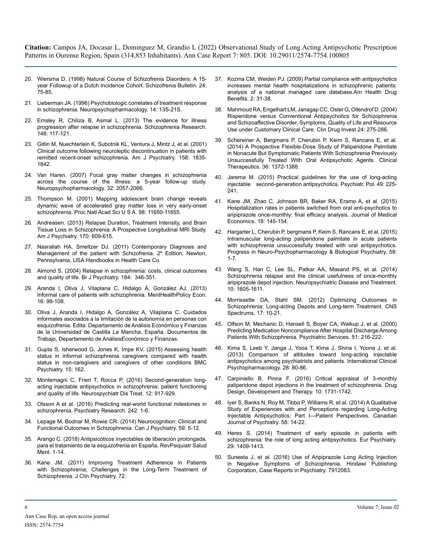- 20. [Wiersma D. \(1998\) Natural Course of Schizofrenia Disorders: A 15](https://pubmed.ncbi.nlm.nih.gov/9502547/) [year Followup of a Dutch Incidence Cohort. Schizofrenia Bulletin. 24:](https://pubmed.ncbi.nlm.nih.gov/9502547/)  [75-85.](https://pubmed.ncbi.nlm.nih.gov/9502547/)
- 21. [Lieberman JA. \(1996\) Psychobiologic correlates of treatment response](https://pubmed.ncbi.nlm.nih.gov/8866739/)  [in schizophrenia. Neuropsychopharmacology. 14: 13S-21S.](https://pubmed.ncbi.nlm.nih.gov/8866739/)
- 22. [Emsley R, Chiliza B, Asmal L. \(2013\) The evidence for illness](https://pubmed.ncbi.nlm.nih.gov/23756298/)  [progression after relapse in schizophrenia. Schizophrenia Research.](https://pubmed.ncbi.nlm.nih.gov/23756298/)  [148: 117-121.](https://pubmed.ncbi.nlm.nih.gov/23756298/)
- 23. [Gitlin M, Nuechterlein K, Subotnik KL, Ventura J, Mintz J, et al. \(2001\)](https://pubmed.ncbi.nlm.nih.gov/11691689/)  [Clinical outcome following neuroleptic discontinuation in patients with](https://pubmed.ncbi.nlm.nih.gov/11691689/)  [remitted recent-onset schizophrenia. Am J Psychiatry. 158: 1835-](https://pubmed.ncbi.nlm.nih.gov/11691689/) [1842.](https://pubmed.ncbi.nlm.nih.gov/11691689/)
- 24. [Van Haren. \(2007\) Focal gray matter changes in schizophrenia](https://pubmed.ncbi.nlm.nih.gov/17327887/)  [across the course of the illness: a 5-year follow-up study.](https://pubmed.ncbi.nlm.nih.gov/17327887/) [Neuropsychopharmacology. 32: 2057-2066.](https://pubmed.ncbi.nlm.nih.gov/17327887/)
- 25. [Thompson M. \(2001\) Mapping adolescent brain change reveals](https://pubmed.ncbi.nlm.nih.gov/11573002/)  [dynamic wave of accelerated gray matter loss in very early-onset](https://pubmed.ncbi.nlm.nih.gov/11573002/)  [schizophrenia. Proc Natl Acad Sci U S A. 98: 11650-11655.](https://pubmed.ncbi.nlm.nih.gov/11573002/)
- 26. [Andreasen. \(2013\) Relapse Duration, Treatment Intensity, and Brain](https://pubmed.ncbi.nlm.nih.gov/23558429/)  [Tissue Loss in Schizophrenia: A Prospective Longitudinal MRI Study.](https://pubmed.ncbi.nlm.nih.gov/23558429/)  [Am J Psychiatry. 170: 609-615.](https://pubmed.ncbi.nlm.nih.gov/23558429/)
- 27. [Nasrallah HA, Smeltzer DJ. \(2011\) Contemporary Diagnosis and](https://www.amazon.com/Contemporary-Diagnosis-Management-Patient-Schizophrenia/dp/1931981027)  [Management of the patient with Schizofrenia. 2º Edition, Newton,](https://www.amazon.com/Contemporary-Diagnosis-Management-Patient-Schizophrenia/dp/1931981027)  [Pennsylvania, USA:Handbooks in Health Care Co.](https://www.amazon.com/Contemporary-Diagnosis-Management-Patient-Schizophrenia/dp/1931981027)
- 28. [Almond S. \(2004\) Relapse in schizophrenia: costs, clinical outcomes](https://pubmed.ncbi.nlm.nih.gov/15056580/)  [and quality of life. Br J Psychiatry. 184: 346-351.](https://pubmed.ncbi.nlm.nih.gov/15056580/)
- 29. [Aranda I, Oliva J, Vilaplana C, Hidalgo Á, González AJ. \(2013\)](https://pubmed.ncbi.nlm.nih.gov/24327480/)  [Informal care of patients with schizophrenia. MentHealthPolicy Econ.](https://pubmed.ncbi.nlm.nih.gov/24327480/) [16: 99-108.](https://pubmed.ncbi.nlm.nih.gov/24327480/)
- 30. Oliva J, Aranda I, Hidalgo A, González A, Vilaplana C. Cuidados informales asociados a la limitación de la autonomía en personas con esquizofrenia. Edita: Departamento de Análisis Económico y Finanzas de la Universidad de Castilla La Mancha, España. Documentos de Trabajo, Departamento de AnálisisEconómico y Finanzas.
- 31. [Gupta S, Isherwood G, Jones K, Impe KV. \(2015\) Assessing health](https://pubmed.ncbi.nlm.nih.gov/26194890/)  [status in informal schizophrenia caregivers compared with health](https://pubmed.ncbi.nlm.nih.gov/26194890/)  [status in non-caregivers and caregivers of other conditions BMC](https://pubmed.ncbi.nlm.nih.gov/26194890/)  [Psychiatry. 15: 162.](https://pubmed.ncbi.nlm.nih.gov/26194890/)
- 32. [Montemagni C, Frieri T, Rocca P. \(2016\) Second-generation long](https://pubmed.ncbi.nlm.nih.gov/27143893/)[acting injectable antipsychotics in schizophrenia: patient functioning](https://pubmed.ncbi.nlm.nih.gov/27143893/)  [and quality of life. Neurospychiatr Dis Treat. 12: 917-929.](https://pubmed.ncbi.nlm.nih.gov/27143893/)
- 33. [Olsson A et al. \(2016\) Predicting real-world functional milestones in](https://pubmed.ncbi.nlm.nih.gov/27235985/)  [schizophrenia. Psychiatry Research. 242: 1-6.](https://pubmed.ncbi.nlm.nih.gov/27235985/)
- 34. [Lepage M, Bodnar M, Rowie CR. \(2014\) Neurocognition: Clinical and](https://pubmed.ncbi.nlm.nih.gov/24444318/)  [Functional Outcomes in Schizophrenia. Can J Psychiatry. 59: 5-12.](https://pubmed.ncbi.nlm.nih.gov/24444318/)
- 35. [Arango C. \(2018\) Antipsicóticos inyectables de liberación prolongada,](https://riucv.ucv.es/bitstream/handle/20.500.12466/1856/TFG ELISA LLOPIS.pdf?sequence=1&isAllowed=y)  [para el tratamiento de la esquizofrenia en España. RevPsiquiatr Salud](https://riucv.ucv.es/bitstream/handle/20.500.12466/1856/TFG ELISA LLOPIS.pdf?sequence=1&isAllowed=y)  [Ment. 1-14.](https://riucv.ucv.es/bitstream/handle/20.500.12466/1856/TFG ELISA LLOPIS.pdf?sequence=1&isAllowed=y)
- 36. [Kane JM. \(2011\) Improving Treatment Adherence in Patients](https://pubmed.ncbi.nlm.nih.gov/21190649/)  [with Schizophrenia; Challenges in the Long-Term Treatment of](https://pubmed.ncbi.nlm.nih.gov/21190649/)  [Schizophrenia. J Clin Psychiatry. 72.](https://pubmed.ncbi.nlm.nih.gov/21190649/)
- 37. [Kozma CM, Weiden PJ. \(2009\) Partial compliance with antipsychotics](https://www.ncbi.nlm.nih.gov/pmc/articles/PMC4106590/)  [increases mental health hospitalizations in schizophrenic patients:](https://www.ncbi.nlm.nih.gov/pmc/articles/PMC4106590/)  [analysis of a national managed care database.Am Health Drug](https://www.ncbi.nlm.nih.gov/pmc/articles/PMC4106590/)  [Benefits. 2: 31-38.](https://www.ncbi.nlm.nih.gov/pmc/articles/PMC4106590/)
- 38. [Mahmoud RA, Engelhart LM, Janagap CC, Oster G, Ollendrof D. \(2004\)](https://pubmed.ncbi.nlm.nih.gov/17503889/)  [Risperidone versus Conventional Antipsychotics for Schizophrenia](https://pubmed.ncbi.nlm.nih.gov/17503889/)  [and Schizoaffective Disorder, Symptoms, Quality of Life and Resource](https://pubmed.ncbi.nlm.nih.gov/17503889/)  [Use under Customary Clinical Care. Clin Drug Invest 24: 275-286.](https://pubmed.ncbi.nlm.nih.gov/17503889/)
- 39. [Schereiner A, Bergmans P, Cherubin P, Keim S, Rancans E, et al.](https://pubmed.ncbi.nlm.nih.gov/25444566/) [\(2014\) A Prospective Flexible-Dose Study of Paliperidone Palmitate](https://pubmed.ncbi.nlm.nih.gov/25444566/)  [in Nonacute But Symptomatic Patients With Schizophrenia Previously](https://pubmed.ncbi.nlm.nih.gov/25444566/)  [Unsuccessfully Treated With Oral Antipsychotic Agents. Clinical](https://pubmed.ncbi.nlm.nih.gov/25444566/)  [Therapeutics. 36: 1372-1388.](https://pubmed.ncbi.nlm.nih.gov/25444566/)
- 40. Jarema M. (2015) Practical guidelines for the use of long-acting injectable second-generation antipsychotics. Psychiatr. Pol. 49: 225- 241.
- 41. [Kane JM, Zhao C, Johnson BR, Baker RA, Eramo A, et al. \(2015\)](https://pubmed.ncbi.nlm.nih.gov/25347448/)  [Hospitalization rates in patients switched from oral anti-psychotics to](https://pubmed.ncbi.nlm.nih.gov/25347448/)  [aripiprazole once-monthly: final efficacy analysis. Journal of Medical](https://pubmed.ncbi.nlm.nih.gov/25347448/)  [Economics. 18: 145-154.](https://pubmed.ncbi.nlm.nih.gov/25347448/)
- 42. [Hargarter L, Cherubin P, bergmans P, Keim S, Rancans E, et al. \(2015\)](https://pubmed.ncbi.nlm.nih.gov/25448776/)  [Intramuscular long-acting paliperidone palmitate in acute patients](https://pubmed.ncbi.nlm.nih.gov/25448776/)  [with schizophrenia unsuccessfully treated with oral antipsychotics.](https://pubmed.ncbi.nlm.nih.gov/25448776/)  [Progress in Neuro-Psychopharmacology & Biological Psychiatry. 58:](https://pubmed.ncbi.nlm.nih.gov/25448776/) [1-7.](https://pubmed.ncbi.nlm.nih.gov/25448776/)
- 43. [Wang S, Han C, Lee SL, Patkar AA, Masand PS, et al. \(2014\)](https://pubmed.ncbi.nlm.nih.gov/25210454/)  [Schizophrenia relapse and the clinical usefulness of once-monthly](https://pubmed.ncbi.nlm.nih.gov/25210454/)  [aripiprazole depot injection. Neuropsychiatric Disease and Treatment.](https://pubmed.ncbi.nlm.nih.gov/25210454/)  [10: 1605-1611.](https://pubmed.ncbi.nlm.nih.gov/25210454/)
- 44. [Morrissette DA, Stahl SM. \(2012\) Optimizing Outcomes in](https://pubmed.ncbi.nlm.nih.gov/23462201/)  [Schizophrenia: Long-acting Depots and Long-term Treatment. CNS](https://pubmed.ncbi.nlm.nih.gov/23462201/)  [Spectrums. 17: 10-21.](https://pubmed.ncbi.nlm.nih.gov/23462201/)
- 45. [Olfson M, Mechanic D, Hansell S, Boyer CA, Walkup J, et al. \(2000\)](https://pubmed.ncbi.nlm.nih.gov/10655006/) [Predicting Medication Noncompliance After Hospital Discharge Among](https://pubmed.ncbi.nlm.nih.gov/10655006/)  [Patients With Schizophrenia. Psychiatric Services. 51: 216-222.](https://pubmed.ncbi.nlm.nih.gov/10655006/)
- 46. Kima S, Leeb Y, Janga J, Yooa T, Kima J, Shina I, Yoona J, et al. (2013) Comparison of attitudes toward long-acting injectable antipsychotics among psychiatrists and patients. International Clinical Psychopharmacology. 28: 80-86.
- 47. [Carpiniello B, Pinna F. \(2016\) Critical appraisal of 3-monthly](https://pubmed.ncbi.nlm.nih.gov/27307704/)  [paliperidone depot injections in the treatment of schizophrenia. Drug](https://pubmed.ncbi.nlm.nih.gov/27307704/) [Design, Development and Therapy. 10: 1731-1742.](https://pubmed.ncbi.nlm.nih.gov/27307704/)
- 48. [Iyer S, Banks N, Roy M, Tibbo P, Williams R, et al. \(2014\) A Qualitative](https://pubmed.ncbi.nlm.nih.gov/23945063/) [Study of Experiences with and Perceptions regarding Long-Acting](https://pubmed.ncbi.nlm.nih.gov/23945063/)  [Injectable Antipsychotics: Part I—Patient Perspectives. Canadian](https://pubmed.ncbi.nlm.nih.gov/23945063/)  [Journal of Psychiatry. 58: 14-22.](https://pubmed.ncbi.nlm.nih.gov/23945063/)
- 49. [Heres S. \(2014\) Treatment of early episode in patients with](https://pubmed.ncbi.nlm.nih.gov/25455704/)  [schizophrenia: the role of long acting antipsychotics. Eur Psychiatry.](https://pubmed.ncbi.nlm.nih.gov/25455704/)  [29: 1409-1413.](https://pubmed.ncbi.nlm.nih.gov/25455704/)
- 50. [Suneeta J, et al. \(2016\) Use of Aripiprazole Long Acting Injection](https://www.hindawi.com/journals/crips/2016/7912083/)  [in Negative Symptoms of Schizophrenia. Hindawi Publishing](https://www.hindawi.com/journals/crips/2016/7912083/)  [Corporation, Case Reports in Psychiatry. 7912083.](https://www.hindawi.com/journals/crips/2016/7912083/)